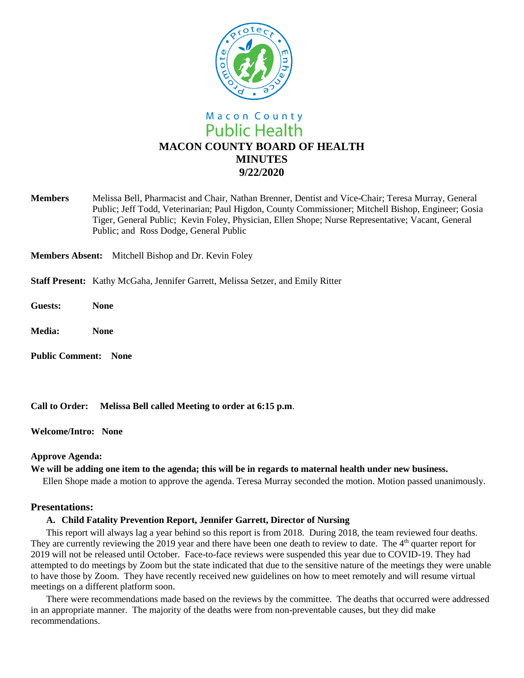

**Members** Melissa Bell, Pharmacist and Chair, Nathan Brenner, Dentist and Vice-Chair; Teresa Murray, General Public; Jeff Todd, Veterinarian; Paul Higdon, County Commissioner; Mitchell Bishop, Engineer; Gosia Tiger, General Public; Kevin Foley, Physician, Ellen Shope; Nurse Representative; Vacant, General Public; and Ross Dodge, General Public

**Members Absent:** Mitchell Bishop and Dr. Kevin Foley

- **Staff Present:** Kathy McGaha, Jennifer Garrett, Melissa Setzer, and Emily Ritter
- **Guests: None**
- **Media: None**
- **Public Comment: None**

**Call to Order: Melissa Bell called Meeting to order at 6:15 p.m**.

**Welcome/Intro: None**

### **Approve Agenda:**

### **We will be adding one item to the agenda; this will be in regards to maternal health under new business.**

Ellen Shope made a motion to approve the agenda. Teresa Murray seconded the motion. Motion passed unanimously.

# **Presentations:**

### **A. Child Fatality Prevention Report, Jennifer Garrett, Director of Nursing**

This report will always lag a year behind so this report is from 2018. During 2018, the team reviewed four deaths. They are currently reviewing the 2019 year and there have been one death to review to date. The 4<sup>th</sup> quarter report for 2019 will not be released until October. Face-to-face reviews were suspended this year due to COVID-19. They had attempted to do meetings by Zoom but the state indicated that due to the sensitive nature of the meetings they were unable to have those by Zoom. They have recently received new guidelines on how to meet remotely and will resume virtual meetings on a different platform soon.

There were recommendations made based on the reviews by the committee. The deaths that occurred were addressed in an appropriate manner. The majority of the deaths were from non-preventable causes, but they did make recommendations.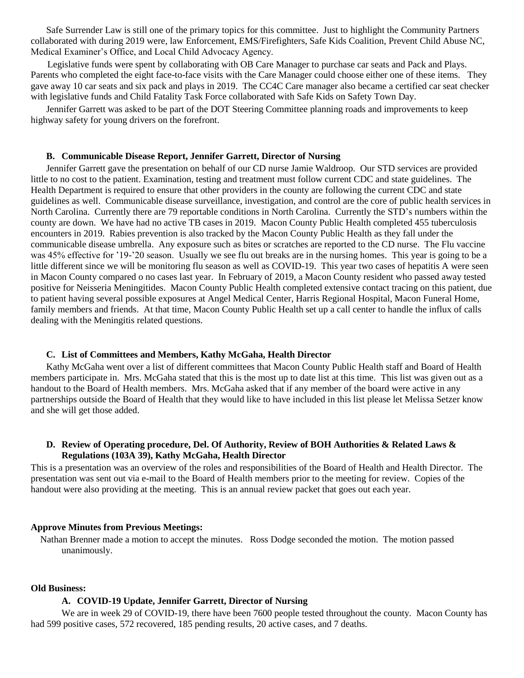Safe Surrender Law is still one of the primary topics for this committee. Just to highlight the Community Partners collaborated with during 2019 were, law Enforcement, EMS/Firefighters, Safe Kids Coalition, Prevent Child Abuse NC, Medical Examiner's Office, and Local Child Advocacy Agency.

 Legislative funds were spent by collaborating with OB Care Manager to purchase car seats and Pack and Plays. Parents who completed the eight face-to-face visits with the Care Manager could choose either one of these items. They gave away 10 car seats and six pack and plays in 2019. The CC4C Care manager also became a certified car seat checker with legislative funds and Child Fatality Task Force collaborated with Safe Kids on Safety Town Day.

Jennifer Garrett was asked to be part of the DOT Steering Committee planning roads and improvements to keep highway safety for young drivers on the forefront.

### **B. Communicable Disease Report, Jennifer Garrett, Director of Nursing**

Jennifer Garrett gave the presentation on behalf of our CD nurse Jamie Waldroop. Our STD services are provided little to no cost to the patient. Examination, testing and treatment must follow current CDC and state guidelines. The Health Department is required to ensure that other providers in the county are following the current CDC and state guidelines as well. Communicable disease surveillance, investigation, and control are the core of public health services in North Carolina. Currently there are 79 reportable conditions in North Carolina. Currently the STD's numbers within the county are down. We have had no active TB cases in 2019. Macon County Public Health completed 455 tuberculosis encounters in 2019. Rabies prevention is also tracked by the Macon County Public Health as they fall under the communicable disease umbrella. Any exposure such as bites or scratches are reported to the CD nurse. The Flu vaccine was 45% effective for '19-'20 season. Usually we see flu out breaks are in the nursing homes. This year is going to be a little different since we will be monitoring flu season as well as COVID-19. This year two cases of hepatitis A were seen in Macon County compared o no cases last year. In February of 2019, a Macon County resident who passed away tested positive for Neisseria Meningitides. Macon County Public Health completed extensive contact tracing on this patient, due to patient having several possible exposures at Angel Medical Center, Harris Regional Hospital, Macon Funeral Home, family members and friends. At that time, Macon County Public Health set up a call center to handle the influx of calls dealing with the Meningitis related questions.

#### **C. List of Committees and Members, Kathy McGaha, Health Director**

Kathy McGaha went over a list of different committees that Macon County Public Health staff and Board of Health members participate in. Mrs. McGaha stated that this is the most up to date list at this time. This list was given out as a handout to the Board of Health members. Mrs. McGaha asked that if any member of the board were active in any partnerships outside the Board of Health that they would like to have included in this list please let Melissa Setzer know and she will get those added.

## **D. Review of Operating procedure, Del. Of Authority, Review of BOH Authorities & Related Laws & Regulations (103A 39), Kathy McGaha, Health Director**

This is a presentation was an overview of the roles and responsibilities of the Board of Health and Health Director. The presentation was sent out via e-mail to the Board of Health members prior to the meeting for review. Copies of the handout were also providing at the meeting. This is an annual review packet that goes out each year.

### **Approve Minutes from Previous Meetings:**

 Nathan Brenner made a motion to accept the minutes. Ross Dodge seconded the motion. The motion passed unanimously.

### **Old Business:**

### **A. COVID-19 Update, Jennifer Garrett, Director of Nursing**

We are in week 29 of COVID-19, there have been 7600 people tested throughout the county. Macon County has had 599 positive cases, 572 recovered, 185 pending results, 20 active cases, and 7 deaths.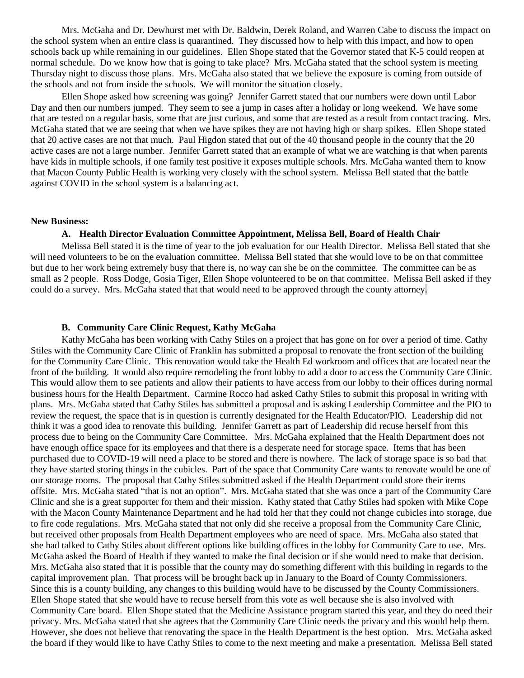Mrs. McGaha and Dr. Dewhurst met with Dr. Baldwin, Derek Roland, and Warren Cabe to discuss the impact on the school system when an entire class is quarantined. They discussed how to help with this impact, and how to open schools back up while remaining in our guidelines. Ellen Shope stated that the Governor stated that K-5 could reopen at normal schedule. Do we know how that is going to take place? Mrs. McGaha stated that the school system is meeting Thursday night to discuss those plans. Mrs. McGaha also stated that we believe the exposure is coming from outside of the schools and not from inside the schools. We will monitor the situation closely.

Ellen Shope asked how screening was going? Jennifer Garrett stated that our numbers were down until Labor Day and then our numbers jumped. They seem to see a jump in cases after a holiday or long weekend. We have some that are tested on a regular basis, some that are just curious, and some that are tested as a result from contact tracing. Mrs. McGaha stated that we are seeing that when we have spikes they are not having high or sharp spikes. Ellen Shope stated that 20 active cases are not that much. Paul Higdon stated that out of the 40 thousand people in the county that the 20 active cases are not a large number. Jennifer Garrett stated that an example of what we are watching is that when parents have kids in multiple schools, if one family test positive it exposes multiple schools. Mrs. McGaha wanted them to know that Macon County Public Health is working very closely with the school system. Melissa Bell stated that the battle against COVID in the school system is a balancing act.

#### **New Business:**

### **A. Health Director Evaluation Committee Appointment, Melissa Bell, Board of Health Chair**

Melissa Bell stated it is the time of year to the job evaluation for our Health Director. Melissa Bell stated that she will need volunteers to be on the evaluation committee. Melissa Bell stated that she would love to be on that committee but due to her work being extremely busy that there is, no way can she be on the committee. The committee can be as small as 2 people. Ross Dodge, Gosia Tiger, Ellen Shope volunteered to be on that committee. Melissa Bell asked if they could do a survey. Mrs. McGaha stated that that would need to be approved through the county attorney.

### **B. Community Care Clinic Request, Kathy McGaha**

Kathy McGaha has been working with Cathy Stiles on a project that has gone on for over a period of time. Cathy Stiles with the Community Care Clinic of Franklin has submitted a proposal to renovate the front section of the building for the Community Care Clinic. This renovation would take the Health Ed workroom and offices that are located near the front of the building. It would also require remodeling the front lobby to add a door to access the Community Care Clinic. This would allow them to see patients and allow their patients to have access from our lobby to their offices during normal business hours for the Health Department. Carmine Rocco had asked Cathy Stiles to submit this proposal in writing with plans. Mrs. McGaha stated that Cathy Stiles has submitted a proposal and is asking Leadership Committee and the PIO to review the request, the space that is in question is currently designated for the Health Educator/PIO. Leadership did not think it was a good idea to renovate this building. Jennifer Garrett as part of Leadership did recuse herself from this process due to being on the Community Care Committee. Mrs. McGaha explained that the Health Department does not have enough office space for its employees and that there is a desperate need for storage space. Items that has been purchased due to COVID-19 will need a place to be stored and there is nowhere. The lack of storage space is so bad that they have started storing things in the cubicles. Part of the space that Community Care wants to renovate would be one of our storage rooms. The proposal that Cathy Stiles submitted asked if the Health Department could store their items offsite. Mrs. McGaha stated "that is not an option". Mrs. McGaha stated that she was once a part of the Community Care Clinic and she is a great supporter for them and their mission. Kathy stated that Cathy Stiles had spoken with Mike Cope with the Macon County Maintenance Department and he had told her that they could not change cubicles into storage, due to fire code regulations. Mrs. McGaha stated that not only did she receive a proposal from the Community Care Clinic, but received other proposals from Health Department employees who are need of space. Mrs. McGaha also stated that she had talked to Cathy Stiles about different options like building offices in the lobby for Community Care to use. Mrs. McGaha asked the Board of Health if they wanted to make the final decision or if she would need to make that decision. Mrs. McGaha also stated that it is possible that the county may do something different with this building in regards to the capital improvement plan. That process will be brought back up in January to the Board of County Commissioners. Since this is a county building, any changes to this building would have to be discussed by the County Commissioners. Ellen Shope stated that she would have to recuse herself from this vote as well because she is also involved with Community Care board. Ellen Shope stated that the Medicine Assistance program started this year, and they do need their privacy. Mrs. McGaha stated that she agrees that the Community Care Clinic needs the privacy and this would help them. However, she does not believe that renovating the space in the Health Department is the best option. Mrs. McGaha asked the board if they would like to have Cathy Stiles to come to the next meeting and make a presentation. Melissa Bell stated